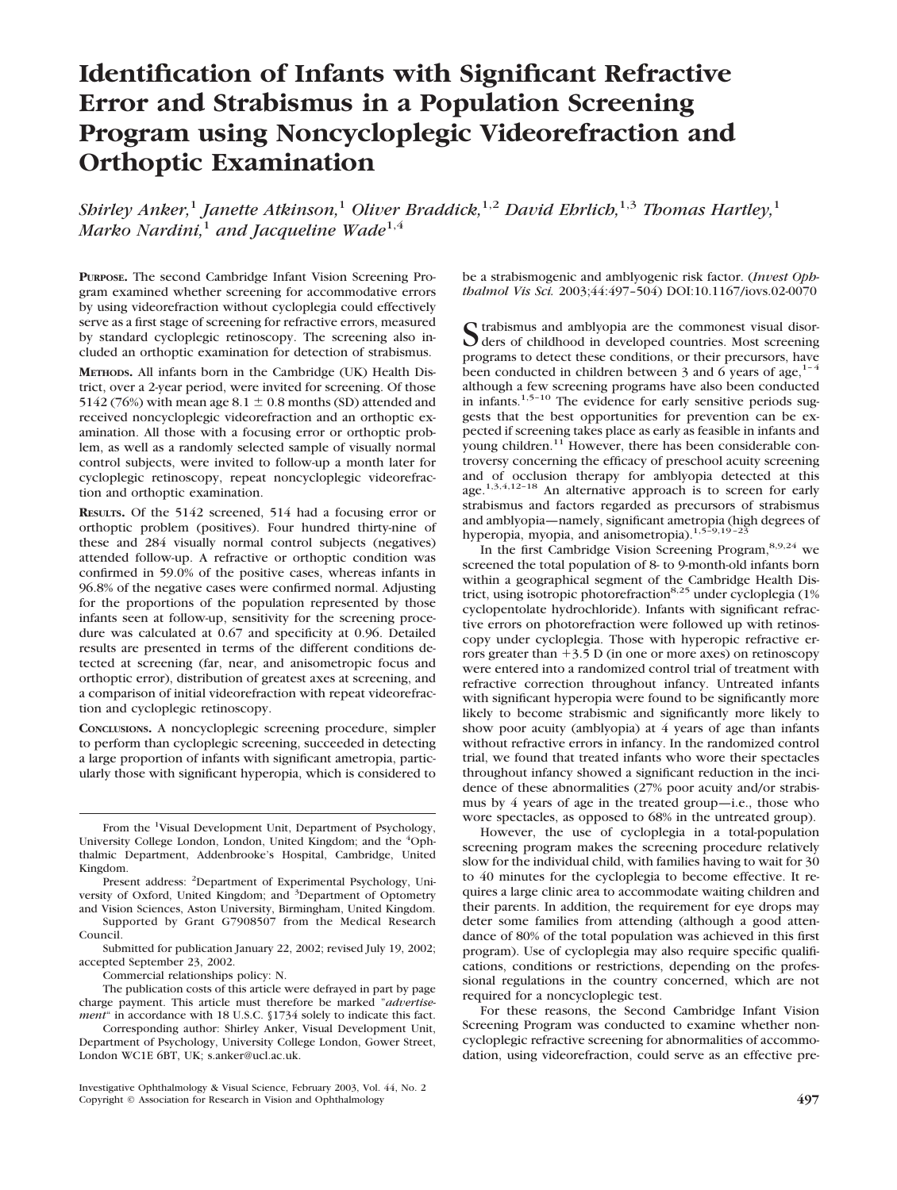# **Identification of Infants with Significant Refractive Error and Strabismus in a Population Screening Program using Noncycloplegic Videorefraction and Orthoptic Examination**

*Shirley Anker,*<sup>1</sup> *Janette Atkinson,*<sup>1</sup> *Oliver Braddick,*1,2 *David Ehrlich,*1,3 *Thomas Hartley,*<sup>1</sup> *Marko Nardini,*<sup>1</sup> *and Jacqueline Wade*1,4

**PURPOSE.** The second Cambridge Infant Vision Screening Program examined whether screening for accommodative errors by using videorefraction without cycloplegia could effectively serve as a first stage of screening for refractive errors, measured by standard cycloplegic retinoscopy. The screening also included an orthoptic examination for detection of strabismus.

**METHODS.** All infants born in the Cambridge (UK) Health District, over a 2-year period, were invited for screening. Of those 5142 (76%) with mean age 8.1  $\pm$  0.8 months (SD) attended and received noncycloplegic videorefraction and an orthoptic examination. All those with a focusing error or orthoptic problem, as well as a randomly selected sample of visually normal control subjects, were invited to follow-up a month later for cycloplegic retinoscopy, repeat noncycloplegic videorefraction and orthoptic examination.

**RESULTS.** Of the 5142 screened, 514 had a focusing error or orthoptic problem (positives). Four hundred thirty-nine of these and 284 visually normal control subjects (negatives) attended follow-up. A refractive or orthoptic condition was confirmed in 59.0% of the positive cases, whereas infants in 96.8% of the negative cases were confirmed normal. Adjusting for the proportions of the population represented by those infants seen at follow-up, sensitivity for the screening procedure was calculated at 0.67 and specificity at 0.96. Detailed results are presented in terms of the different conditions detected at screening (far, near, and anisometropic focus and orthoptic error), distribution of greatest axes at screening, and a comparison of initial videorefraction with repeat videorefraction and cycloplegic retinoscopy.

**CONCLUSIONS.** A noncycloplegic screening procedure, simpler to perform than cycloplegic screening, succeeded in detecting a large proportion of infants with significant ametropia, particularly those with significant hyperopia, which is considered to

Present address: <sup>2</sup>Department of Experimental Psychology, University of Oxford, United Kingdom; and <sup>3</sup>Department of Optometry and Vision Sciences, Aston University, Birmingham, United Kingdom.

Supported by Grant G7908507 from the Medical Research Council.

Commercial relationships policy: N.

The publication costs of this article were defrayed in part by page charge payment. This article must therefore be marked "*advertisement*" in accordance with 18 U.S.C. §1734 solely to indicate this fact.

Corresponding author: Shirley Anker, Visual Development Unit, Department of Psychology, University College London, Gower Street, London WC1E 6BT, UK; s.anker@ucl.ac.uk.

be a strabismogenic and amblyogenic risk factor. (*Invest Ophthalmol Vis Sci.* 2003;44:497–504) DOI:10.1167/iovs.02-0070

Strabismus and amblyopia are the commonest visual disor-<br>ders of childhood in developed countries. Most screening programs to detect these conditions, or their precursors, have been conducted in children between 3 and 6 years of age, $^{1}$ although a few screening programs have also been conducted in infants.<sup>1,5–10</sup> The evidence for early sensitive periods suggests that the best opportunities for prevention can be expected if screening takes place as early as feasible in infants and young children.<sup>11</sup> However, there has been considerable controversy concerning the efficacy of preschool acuity screening and of occlusion therapy for amblyopia detected at this age.<sup>1,3,4,12–18</sup> An alternative approach is to screen for early strabismus and factors regarded as precursors of strabismus and amblyopia—namely, significant ametropia (high degrees of hyperopia, myopia, and anisometropia).<sup>1,5–9,19–23</sup>

In the first Cambridge Vision Screening Program,8,9,24 we screened the total population of 8- to 9-month-old infants born within a geographical segment of the Cambridge Health District, using isotropic photorefraction<sup>8,25</sup> under cycloplegia (1%) cyclopentolate hydrochloride). Infants with significant refractive errors on photorefraction were followed up with retinoscopy under cycloplegia. Those with hyperopic refractive errors greater than  $+3.5$  D (in one or more axes) on retinoscopy were entered into a randomized control trial of treatment with refractive correction throughout infancy. Untreated infants with significant hyperopia were found to be significantly more likely to become strabismic and significantly more likely to show poor acuity (amblyopia) at 4 years of age than infants without refractive errors in infancy. In the randomized control trial, we found that treated infants who wore their spectacles throughout infancy showed a significant reduction in the incidence of these abnormalities (27% poor acuity and/or strabismus by 4 years of age in the treated group—i.e., those who wore spectacles, as opposed to 68% in the untreated group).

However, the use of cycloplegia in a total-population screening program makes the screening procedure relatively slow for the individual child, with families having to wait for 30 to 40 minutes for the cycloplegia to become effective. It requires a large clinic area to accommodate waiting children and their parents. In addition, the requirement for eye drops may deter some families from attending (although a good attendance of 80% of the total population was achieved in this first program). Use of cycloplegia may also require specific qualifications, conditions or restrictions, depending on the professional regulations in the country concerned, which are not required for a noncycloplegic test.

For these reasons, the Second Cambridge Infant Vision Screening Program was conducted to examine whether noncycloplegic refractive screening for abnormalities of accommodation, using videorefraction, could serve as an effective pre-

From the <sup>1</sup>Visual Development Unit, Department of Psychology, University College London, London, United Kingdom; and the <sup>4</sup>Ophthalmic Department, Addenbrooke's Hospital, Cambridge, United Kingdom.

Submitted for publication January 22, 2002; revised July 19, 2002; accepted September 23, 2002.

Investigative Ophthalmology & Visual Science, February 2003, Vol. 44, No. 2 Copyright © Association for Research in Vision and Ophthalmology **497**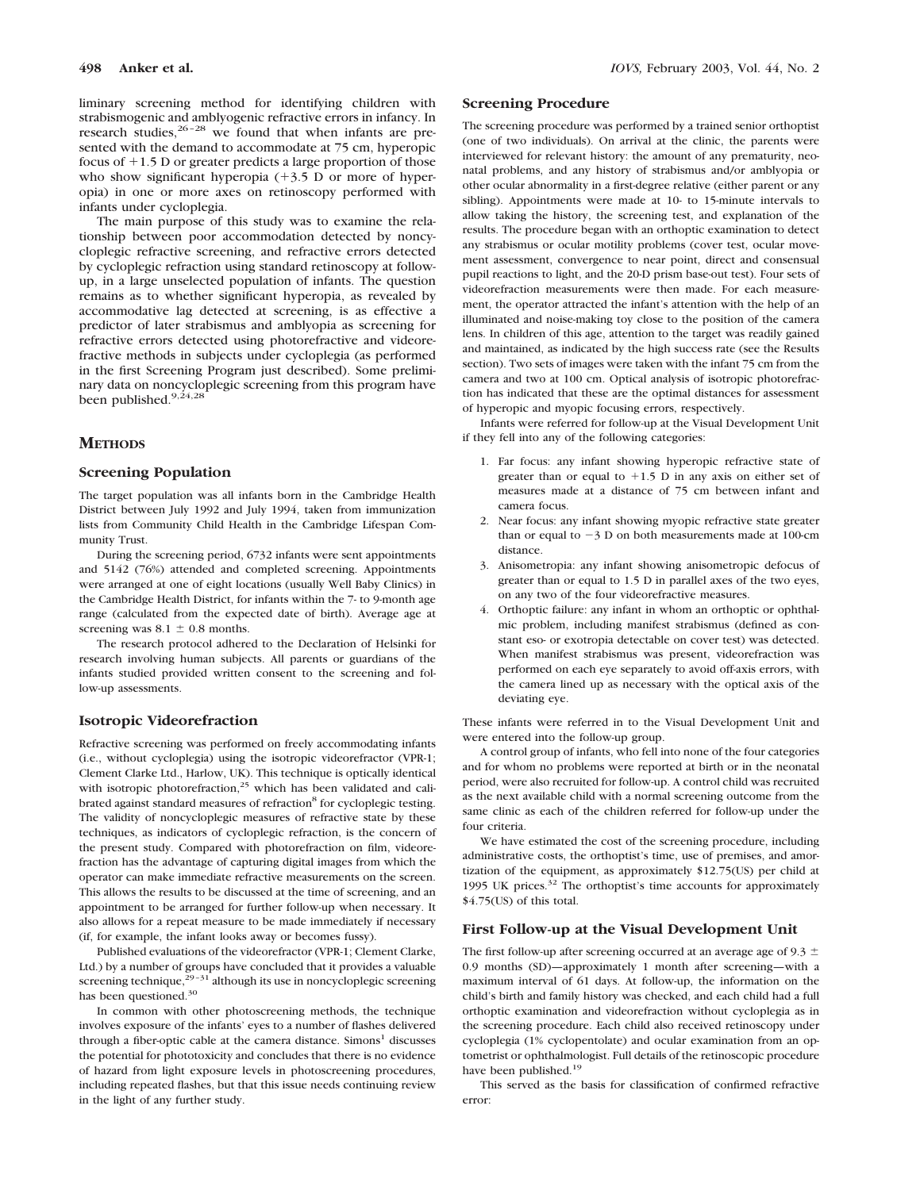liminary screening method for identifying children with strabismogenic and amblyogenic refractive errors in infancy. In research studies,<sup>26-28</sup> we found that when infants are presented with the demand to accommodate at 75 cm, hyperopic focus of  $+1.5$  D or greater predicts a large proportion of those who show significant hyperopia  $(+3.5)$  D or more of hyperopia) in one or more axes on retinoscopy performed with infants under cycloplegia.

The main purpose of this study was to examine the relationship between poor accommodation detected by noncycloplegic refractive screening, and refractive errors detected by cycloplegic refraction using standard retinoscopy at followup, in a large unselected population of infants. The question remains as to whether significant hyperopia, as revealed by accommodative lag detected at screening, is as effective a predictor of later strabismus and amblyopia as screening for refractive errors detected using photorefractive and videorefractive methods in subjects under cycloplegia (as performed in the first Screening Program just described). Some preliminary data on noncycloplegic screening from this program have been published. $9,24,28$ 

# **METHODS**

### **Screening Population**

The target population was all infants born in the Cambridge Health District between July 1992 and July 1994, taken from immunization lists from Community Child Health in the Cambridge Lifespan Community Trust.

During the screening period, 6732 infants were sent appointments and 5142 (76%) attended and completed screening. Appointments were arranged at one of eight locations (usually Well Baby Clinics) in the Cambridge Health District, for infants within the 7- to 9-month age range (calculated from the expected date of birth). Average age at screening was 8.1  $\pm$  0.8 months.

The research protocol adhered to the Declaration of Helsinki for research involving human subjects. All parents or guardians of the infants studied provided written consent to the screening and follow-up assessments.

## **Isotropic Videorefraction**

Refractive screening was performed on freely accommodating infants (i.e., without cycloplegia) using the isotropic videorefractor (VPR-1; Clement Clarke Ltd., Harlow, UK). This technique is optically identical with isotropic photorefraction,<sup>25</sup> which has been validated and calibrated against standard measures of refraction<sup>8</sup> for cycloplegic testing. The validity of noncycloplegic measures of refractive state by these techniques, as indicators of cycloplegic refraction, is the concern of the present study. Compared with photorefraction on film, videorefraction has the advantage of capturing digital images from which the operator can make immediate refractive measurements on the screen. This allows the results to be discussed at the time of screening, and an appointment to be arranged for further follow-up when necessary. It also allows for a repeat measure to be made immediately if necessary (if, for example, the infant looks away or becomes fussy).

Published evaluations of the videorefractor (VPR-1; Clement Clarke, Ltd.) by a number of groups have concluded that it provides a valuable screening technique, $29-31$  although its use in noncycloplegic screening has been questioned.<sup>30</sup>

In common with other photoscreening methods, the technique involves exposure of the infants' eyes to a number of flashes delivered through a fiber-optic cable at the camera distance.  $Simons<sup>1</sup>$  discusses the potential for phototoxicity and concludes that there is no evidence of hazard from light exposure levels in photoscreening procedures, including repeated flashes, but that this issue needs continuing review in the light of any further study.

#### **Screening Procedure**

The screening procedure was performed by a trained senior orthoptist (one of two individuals). On arrival at the clinic, the parents were interviewed for relevant history: the amount of any prematurity, neonatal problems, and any history of strabismus and/or amblyopia or other ocular abnormality in a first-degree relative (either parent or any sibling). Appointments were made at 10- to 15-minute intervals to allow taking the history, the screening test, and explanation of the results. The procedure began with an orthoptic examination to detect any strabismus or ocular motility problems (cover test, ocular movement assessment, convergence to near point, direct and consensual pupil reactions to light, and the 20-D prism base-out test). Four sets of videorefraction measurements were then made. For each measurement, the operator attracted the infant's attention with the help of an illuminated and noise-making toy close to the position of the camera lens. In children of this age, attention to the target was readily gained and maintained, as indicated by the high success rate (see the Results section). Two sets of images were taken with the infant 75 cm from the camera and two at 100 cm. Optical analysis of isotropic photorefraction has indicated that these are the optimal distances for assessment of hyperopic and myopic focusing errors, respectively.

Infants were referred for follow-up at the Visual Development Unit if they fell into any of the following categories:

- 1. Far focus: any infant showing hyperopic refractive state of greater than or equal to  $+1.5$  D in any axis on either set of measures made at a distance of 75 cm between infant and camera focus.
- 2. Near focus: any infant showing myopic refractive state greater than or equal to  $-3$  D on both measurements made at 100-cm distance.
- 3. Anisometropia: any infant showing anisometropic defocus of greater than or equal to 1.5 D in parallel axes of the two eyes, on any two of the four videorefractive measures.
- 4. Orthoptic failure: any infant in whom an orthoptic or ophthalmic problem, including manifest strabismus (defined as constant eso- or exotropia detectable on cover test) was detected. When manifest strabismus was present, videorefraction was performed on each eye separately to avoid off-axis errors, with the camera lined up as necessary with the optical axis of the deviating eye.

These infants were referred in to the Visual Development Unit and were entered into the follow-up group.

A control group of infants, who fell into none of the four categories and for whom no problems were reported at birth or in the neonatal period, were also recruited for follow-up. A control child was recruited as the next available child with a normal screening outcome from the same clinic as each of the children referred for follow-up under the four criteria.

We have estimated the cost of the screening procedure, including administrative costs, the orthoptist's time, use of premises, and amortization of the equipment, as approximately \$12.75(US) per child at 1995 UK prices. $32$  The orthoptist's time accounts for approximately \$4.75(US) of this total.

# **First Follow-up at the Visual Development Unit**

The first follow-up after screening occurred at an average age of 9.3  $\pm$ 0.9 months (SD)—approximately 1 month after screening—with a maximum interval of 61 days. At follow-up, the information on the child's birth and family history was checked, and each child had a full orthoptic examination and videorefraction without cycloplegia as in the screening procedure. Each child also received retinoscopy under cycloplegia (1% cyclopentolate) and ocular examination from an optometrist or ophthalmologist. Full details of the retinoscopic procedure have been published.<sup>19</sup>

This served as the basis for classification of confirmed refractive error: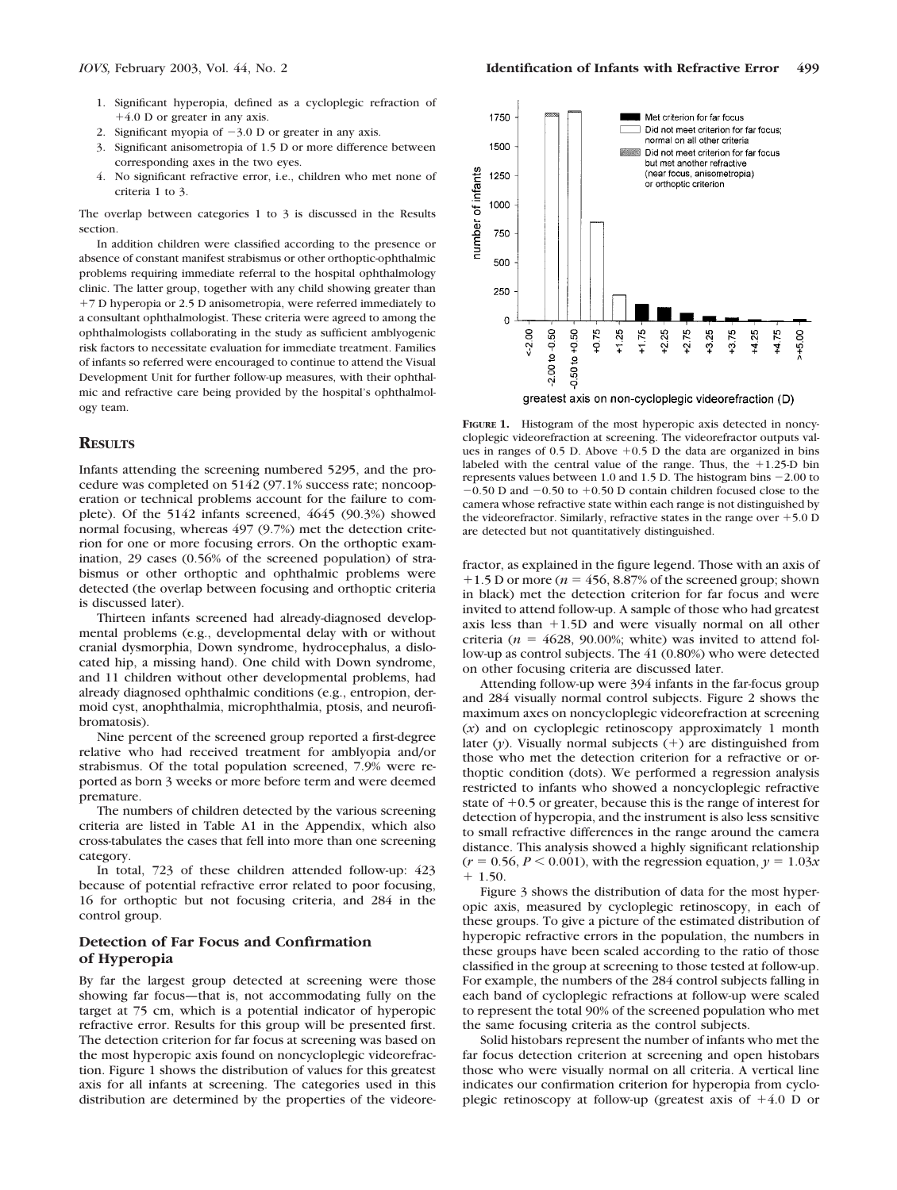- 1. Significant hyperopia, defined as a cycloplegic refraction of -4.0 D or greater in any axis.
- 2. Significant myopia of  $-3.0$  D or greater in any axis.
- 3. Significant anisometropia of 1.5 D or more difference between corresponding axes in the two eyes.
- 4. No significant refractive error, i.e., children who met none of criteria 1 to 3.

The overlap between categories 1 to 3 is discussed in the Results section.

In addition children were classified according to the presence or absence of constant manifest strabismus or other orthoptic-ophthalmic problems requiring immediate referral to the hospital ophthalmology clinic. The latter group, together with any child showing greater than -7 D hyperopia or 2.5 D anisometropia, were referred immediately to a consultant ophthalmologist. These criteria were agreed to among the ophthalmologists collaborating in the study as sufficient amblyogenic risk factors to necessitate evaluation for immediate treatment. Families of infants so referred were encouraged to continue to attend the Visual Development Unit for further follow-up measures, with their ophthalmic and refractive care being provided by the hospital's ophthalmology team.

## **RESULTS**

Infants attending the screening numbered 5295, and the procedure was completed on 5142 (97.1% success rate; noncooperation or technical problems account for the failure to complete). Of the 5142 infants screened, 4645 (90.3%) showed normal focusing, whereas 497 (9.7%) met the detection criterion for one or more focusing errors. On the orthoptic examination, 29 cases (0.56% of the screened population) of strabismus or other orthoptic and ophthalmic problems were detected (the overlap between focusing and orthoptic criteria is discussed later).

Thirteen infants screened had already-diagnosed developmental problems (e.g., developmental delay with or without cranial dysmorphia, Down syndrome, hydrocephalus, a dislocated hip, a missing hand). One child with Down syndrome, and 11 children without other developmental problems, had already diagnosed ophthalmic conditions (e.g., entropion, dermoid cyst, anophthalmia, microphthalmia, ptosis, and neurofibromatosis).

Nine percent of the screened group reported a first-degree relative who had received treatment for amblyopia and/or strabismus. Of the total population screened, 7.9% were reported as born 3 weeks or more before term and were deemed premature.

The numbers of children detected by the various screening criteria are listed in Table A1 in the Appendix, which also cross-tabulates the cases that fell into more than one screening category.

In total, 723 of these children attended follow-up: 423 because of potential refractive error related to poor focusing, 16 for orthoptic but not focusing criteria, and 284 in the control group.

# **Detection of Far Focus and Confirmation of Hyperopia**

By far the largest group detected at screening were those showing far focus—that is, not accommodating fully on the target at 75 cm, which is a potential indicator of hyperopic refractive error. Results for this group will be presented first. The detection criterion for far focus at screening was based on the most hyperopic axis found on noncycloplegic videorefraction. Figure 1 shows the distribution of values for this greatest axis for all infants at screening. The categories used in this distribution are determined by the properties of the videore-



greatest axis on non-cycloplegic videorefraction (D)

**FIGURE 1.** Histogram of the most hyperopic axis detected in noncycloplegic videorefraction at screening. The videorefractor outputs values in ranges of  $0.5$  D. Above  $+0.5$  D the data are organized in bins labeled with the central value of the range. Thus, the  $+1.25$ -D bin represents values between 1.0 and 1.5 D. The histogram bins  $-2.00$  to  $-0.50$  D and  $-0.50$  to  $+0.50$  D contain children focused close to the camera whose refractive state within each range is not distinguished by the videorefractor. Similarly, refractive states in the range over  $+5.0$  D are detected but not quantitatively distinguished.

fractor, as explained in the figure legend. Those with an axis of  $+1.5$  D or more ( $n = 456$ , 8.87% of the screened group; shown in black) met the detection criterion for far focus and were invited to attend follow-up. A sample of those who had greatest axis less than -1.5D and were visually normal on all other criteria ( $n = 4628$ , 90.00%; white) was invited to attend follow-up as control subjects. The 41 (0.80%) who were detected on other focusing criteria are discussed later.

Attending follow-up were 394 infants in the far-focus group and 284 visually normal control subjects. Figure 2 shows the maximum axes on noncycloplegic videorefraction at screening (*x*) and on cycloplegic retinoscopy approximately 1 month later  $(y)$ . Visually normal subjects  $(+)$  are distinguished from those who met the detection criterion for a refractive or orthoptic condition (dots). We performed a regression analysis restricted to infants who showed a noncycloplegic refractive state of  $+0.5$  or greater, because this is the range of interest for detection of hyperopia, and the instrument is also less sensitive to small refractive differences in the range around the camera distance. This analysis showed a highly significant relationship  $(r = 0.56, P \le 0.001)$ , with the regression equation,  $\gamma = 1.03x$  $+ 1.50.$ 

Figure 3 shows the distribution of data for the most hyperopic axis, measured by cycloplegic retinoscopy, in each of these groups. To give a picture of the estimated distribution of hyperopic refractive errors in the population, the numbers in these groups have been scaled according to the ratio of those classified in the group at screening to those tested at follow-up. For example, the numbers of the 284 control subjects falling in each band of cycloplegic refractions at follow-up were scaled to represent the total 90% of the screened population who met the same focusing criteria as the control subjects.

Solid histobars represent the number of infants who met the far focus detection criterion at screening and open histobars those who were visually normal on all criteria. A vertical line indicates our confirmation criterion for hyperopia from cycloplegic retinoscopy at follow-up (greatest axis of  $+4.0$  D or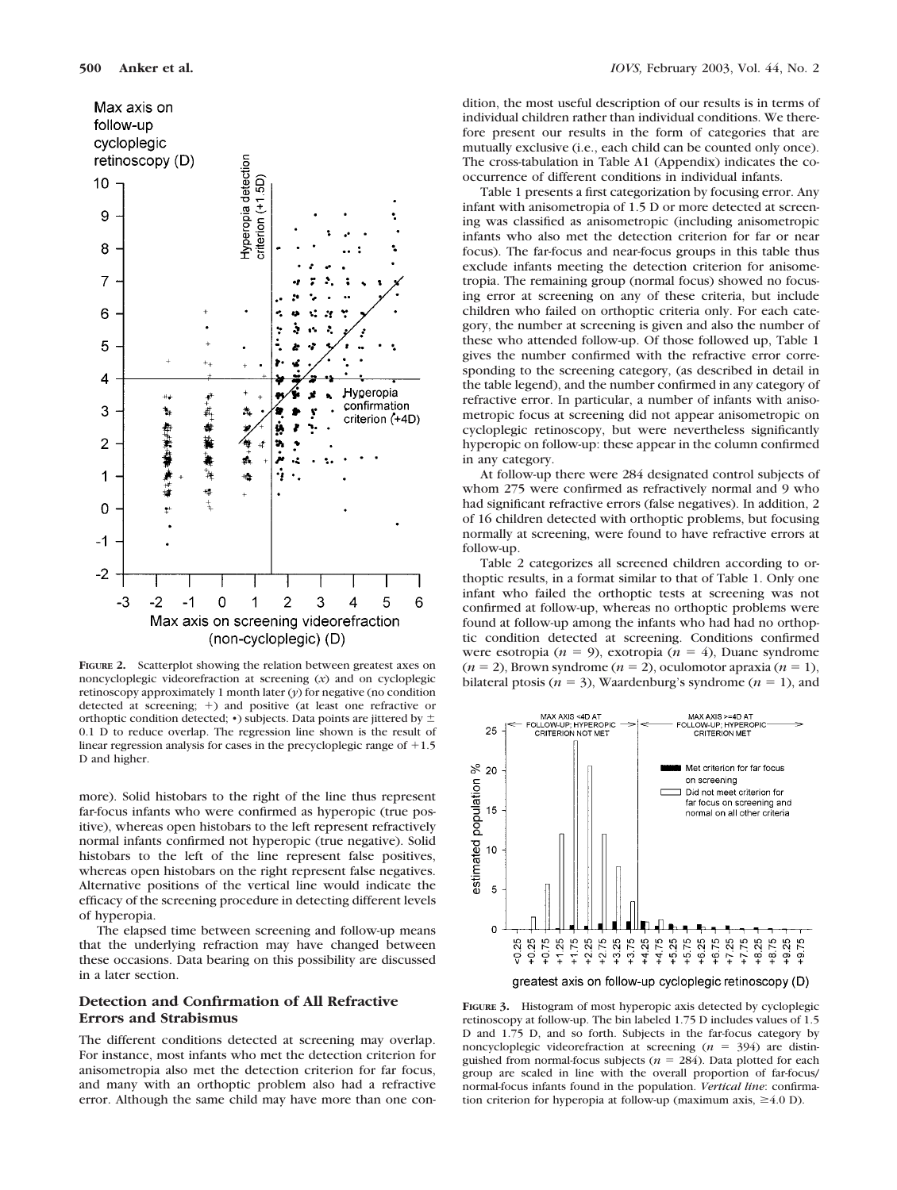

**FIGURE 2.** Scatterplot showing the relation between greatest axes on noncycloplegic videorefraction at screening (*x*) and on cycloplegic retinoscopy approximately 1 month later (*y*) for negative (no condition detected at screening; +) and positive (at least one refractive or orthoptic condition detected; •) subjects. Data points are jittered by  $\pm$ 0.1 D to reduce overlap. The regression line shown is the result of linear regression analysis for cases in the precycloplegic range of  $+1.5$ D and higher.

more). Solid histobars to the right of the line thus represent far-focus infants who were confirmed as hyperopic (true positive), whereas open histobars to the left represent refractively normal infants confirmed not hyperopic (true negative). Solid histobars to the left of the line represent false positives, whereas open histobars on the right represent false negatives. Alternative positions of the vertical line would indicate the efficacy of the screening procedure in detecting different levels of hyperopia.

The elapsed time between screening and follow-up means that the underlying refraction may have changed between these occasions. Data bearing on this possibility are discussed in a later section.

# **Detection and Confirmation of All Refractive Errors and Strabismus**

The different conditions detected at screening may overlap. For instance, most infants who met the detection criterion for anisometropia also met the detection criterion for far focus, and many with an orthoptic problem also had a refractive error. Although the same child may have more than one con-

dition, the most useful description of our results is in terms of individual children rather than individual conditions. We therefore present our results in the form of categories that are mutually exclusive (i.e., each child can be counted only once). The cross-tabulation in Table A1 (Appendix) indicates the cooccurrence of different conditions in individual infants.

Table 1 presents a first categorization by focusing error. Any infant with anisometropia of 1.5 D or more detected at screening was classified as anisometropic (including anisometropic infants who also met the detection criterion for far or near focus). The far-focus and near-focus groups in this table thus exclude infants meeting the detection criterion for anisometropia. The remaining group (normal focus) showed no focusing error at screening on any of these criteria, but include children who failed on orthoptic criteria only. For each category, the number at screening is given and also the number of these who attended follow-up. Of those followed up, Table 1 gives the number confirmed with the refractive error corresponding to the screening category, (as described in detail in the table legend), and the number confirmed in any category of refractive error. In particular, a number of infants with anisometropic focus at screening did not appear anisometropic on cycloplegic retinoscopy, but were nevertheless significantly hyperopic on follow-up: these appear in the column confirmed in any category.

At follow-up there were 284 designated control subjects of whom 275 were confirmed as refractively normal and 9 who had significant refractive errors (false negatives). In addition, 2 of 16 children detected with orthoptic problems, but focusing normally at screening, were found to have refractive errors at follow-up.

Table 2 categorizes all screened children according to orthoptic results, in a format similar to that of Table 1. Only one infant who failed the orthoptic tests at screening was not confirmed at follow-up, whereas no orthoptic problems were found at follow-up among the infants who had had no orthoptic condition detected at screening. Conditions confirmed were esotropia ( $n = 9$ ), exotropia ( $n = 4$ ), Duane syndrome  $(n = 2)$ , Brown syndrome  $(n = 2)$ , oculomotor apraxia  $(n = 1)$ , bilateral ptosis ( $n = 3$ ), Waardenburg's syndrome ( $n = 1$ ), and



greatest axis on follow-up cycloplegic retinoscopy (D)

**FIGURE 3.** Histogram of most hyperopic axis detected by cycloplegic retinoscopy at follow-up. The bin labeled 1.75 D includes values of 1.5 D and 1.75 D, and so forth. Subjects in the far-focus category by noncycloplegic videorefraction at screening  $(n = 394)$  are distinguished from normal-focus subjects ( $n = 284$ ). Data plotted for each group are scaled in line with the overall proportion of far-focus/ normal-focus infants found in the population. *Vertical line*: confirmation criterion for hyperopia at follow-up (maximum axis,  $\geq 4.0$  D).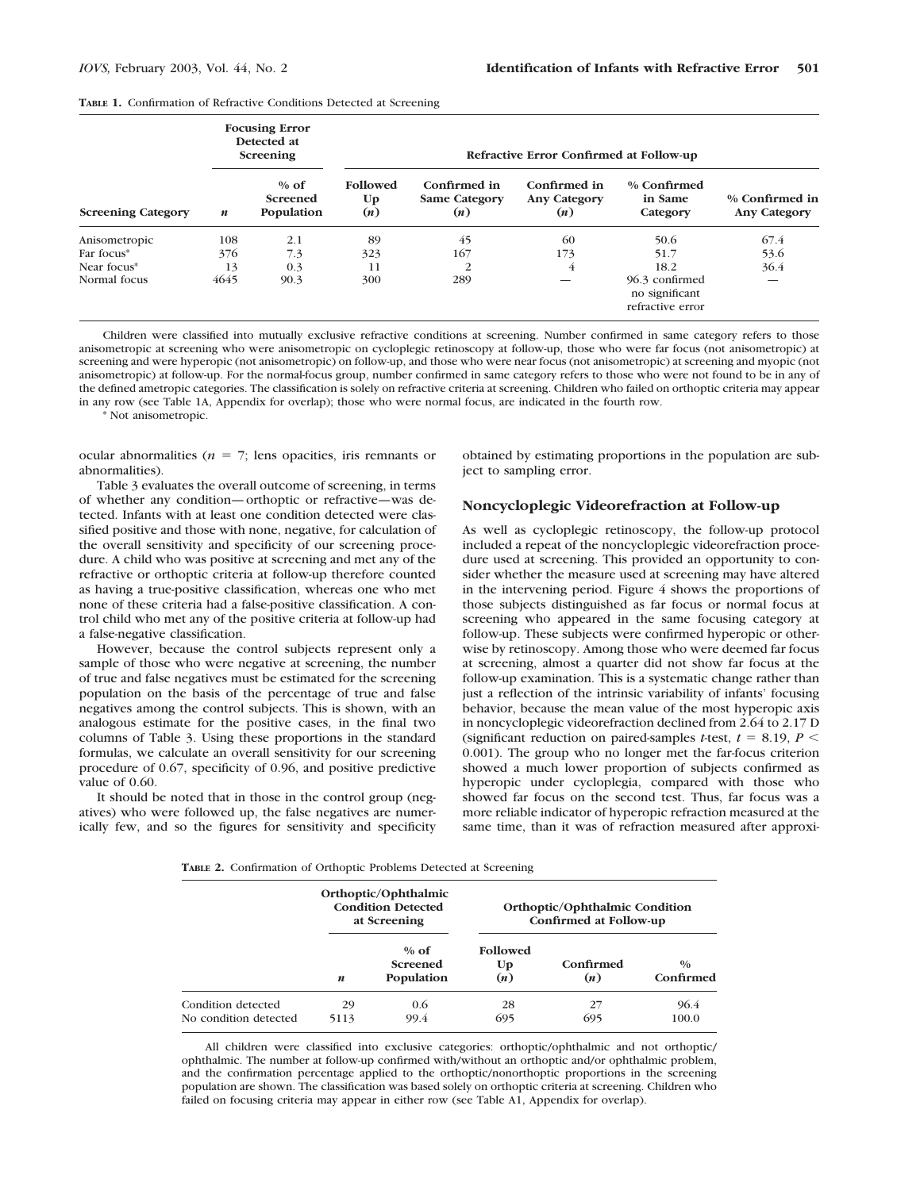|  | TABLE 1. Confirmation of Refractive Conditions Detected at Screening |  |  |  |  |
|--|----------------------------------------------------------------------|--|--|--|--|
|--|----------------------------------------------------------------------|--|--|--|--|

|                           | <b>Focusing Error</b><br>Detected at<br><b>Screening</b> |                                         | Refractive Error Confirmed at Follow-up |                                             |                                            |                                                      |                                       |  |  |
|---------------------------|----------------------------------------------------------|-----------------------------------------|-----------------------------------------|---------------------------------------------|--------------------------------------------|------------------------------------------------------|---------------------------------------|--|--|
| <b>Screening Category</b> | $\boldsymbol{n}$                                         | $%$ of<br><b>Screened</b><br>Population | <b>Followed</b><br>Up<br>(n)            | Confirmed in<br><b>Same Category</b><br>(n) | Confirmed in<br><b>Any Category</b><br>(n) | % Confirmed<br>in Same<br>Category                   | % Confirmed in<br><b>Any Category</b> |  |  |
| Anisometropic             | 108                                                      | 2.1                                     | 89                                      | 45                                          | 60                                         | 50.6                                                 | 67.4                                  |  |  |
| Far focus <sup>*</sup>    | 376                                                      | 7.3                                     | 323                                     | 167                                         | 173                                        | 51.7                                                 | 53.6                                  |  |  |
| Near focus <sup>*</sup>   | 13                                                       | 0.3                                     | 11                                      | $\overline{c}$                              | 4                                          | 18.2                                                 | 36.4                                  |  |  |
| Normal focus              | 4645                                                     | 90.3                                    | 300                                     | 289                                         |                                            | 96.3 confirmed<br>no significant<br>refractive error |                                       |  |  |

Children were classified into mutually exclusive refractive conditions at screening. Number confirmed in same category refers to those anisometropic at screening who were anisometropic on cycloplegic retinoscopy at follow-up, those who were far focus (not anisometropic) at screening and were hyperopic (not anisometropic) on follow-up, and those who were near focus (not anisometropic) at screening and myopic (not anisometropic) at follow-up. For the normal-focus group, number confirmed in same category refers to those who were not found to be in any of the defined ametropic categories. The classification is solely on refractive criteria at screening. Children who failed on orthoptic criteria may appear in any row (see Table 1A, Appendix for overlap); those who were normal focus, are indicated in the fourth row.

\* Not anisometropic.

ocular abnormalities ( $n = 7$ ; lens opacities, iris remnants or abnormalities).

Table 3 evaluates the overall outcome of screening, in terms of whether any condition—orthoptic or refractive—was detected. Infants with at least one condition detected were classified positive and those with none, negative, for calculation of the overall sensitivity and specificity of our screening procedure. A child who was positive at screening and met any of the refractive or orthoptic criteria at follow-up therefore counted as having a true-positive classification, whereas one who met none of these criteria had a false-positive classification. A control child who met any of the positive criteria at follow-up had a false-negative classification.

However, because the control subjects represent only a sample of those who were negative at screening, the number of true and false negatives must be estimated for the screening population on the basis of the percentage of true and false negatives among the control subjects. This is shown, with an analogous estimate for the positive cases, in the final two columns of Table 3. Using these proportions in the standard formulas, we calculate an overall sensitivity for our screening procedure of 0.67, specificity of 0.96, and positive predictive value of 0.60.

It should be noted that in those in the control group (negatives) who were followed up, the false negatives are numerically few, and so the figures for sensitivity and specificity obtained by estimating proportions in the population are subject to sampling error.

# **Noncycloplegic Videorefraction at Follow-up**

As well as cycloplegic retinoscopy, the follow-up protocol included a repeat of the noncycloplegic videorefraction procedure used at screening. This provided an opportunity to consider whether the measure used at screening may have altered in the intervening period. Figure 4 shows the proportions of those subjects distinguished as far focus or normal focus at screening who appeared in the same focusing category at follow-up. These subjects were confirmed hyperopic or otherwise by retinoscopy. Among those who were deemed far focus at screening, almost a quarter did not show far focus at the follow-up examination. This is a systematic change rather than just a reflection of the intrinsic variability of infants' focusing behavior, because the mean value of the most hyperopic axis in noncycloplegic videorefraction declined from 2.64 to 2.17 D (significant reduction on paired-samples *t*-test,  $t = 8.19$ ,  $P \le$ 0.001). The group who no longer met the far-focus criterion showed a much lower proportion of subjects confirmed as hyperopic under cycloplegia, compared with those who showed far focus on the second test. Thus, far focus was a more reliable indicator of hyperopic refraction measured at the same time, than it was of refraction measured after approxi-

**TABLE 2.** Confirmation of Orthoptic Problems Detected at Screening

|                                             |                  | Orthoptic/Ophthalmic<br><b>Condition Detected</b><br>at Screening | Orthoptic/Ophthalmic Condition<br>Confirmed at Follow-up |                  |                            |  |
|---------------------------------------------|------------------|-------------------------------------------------------------------|----------------------------------------------------------|------------------|----------------------------|--|
|                                             | $\boldsymbol{n}$ | $%$ of<br><b>Screened</b><br>Population                           | <b>Followed</b><br>Up<br>(n)                             | Confirmed<br>(n) | $\frac{0}{0}$<br>Confirmed |  |
| Condition detected<br>No condition detected | 29<br>5113       | 0.6<br>99.4                                                       | 28<br>695                                                | 27<br>695        | 96.4<br>100.0              |  |

All children were classified into exclusive categories: orthoptic/ophthalmic and not orthoptic/ ophthalmic. The number at follow-up confirmed with/without an orthoptic and/or ophthalmic problem, and the confirmation percentage applied to the orthoptic/nonorthoptic proportions in the screening population are shown. The classification was based solely on orthoptic criteria at screening. Children who failed on focusing criteria may appear in either row (see Table A1, Appendix for overlap).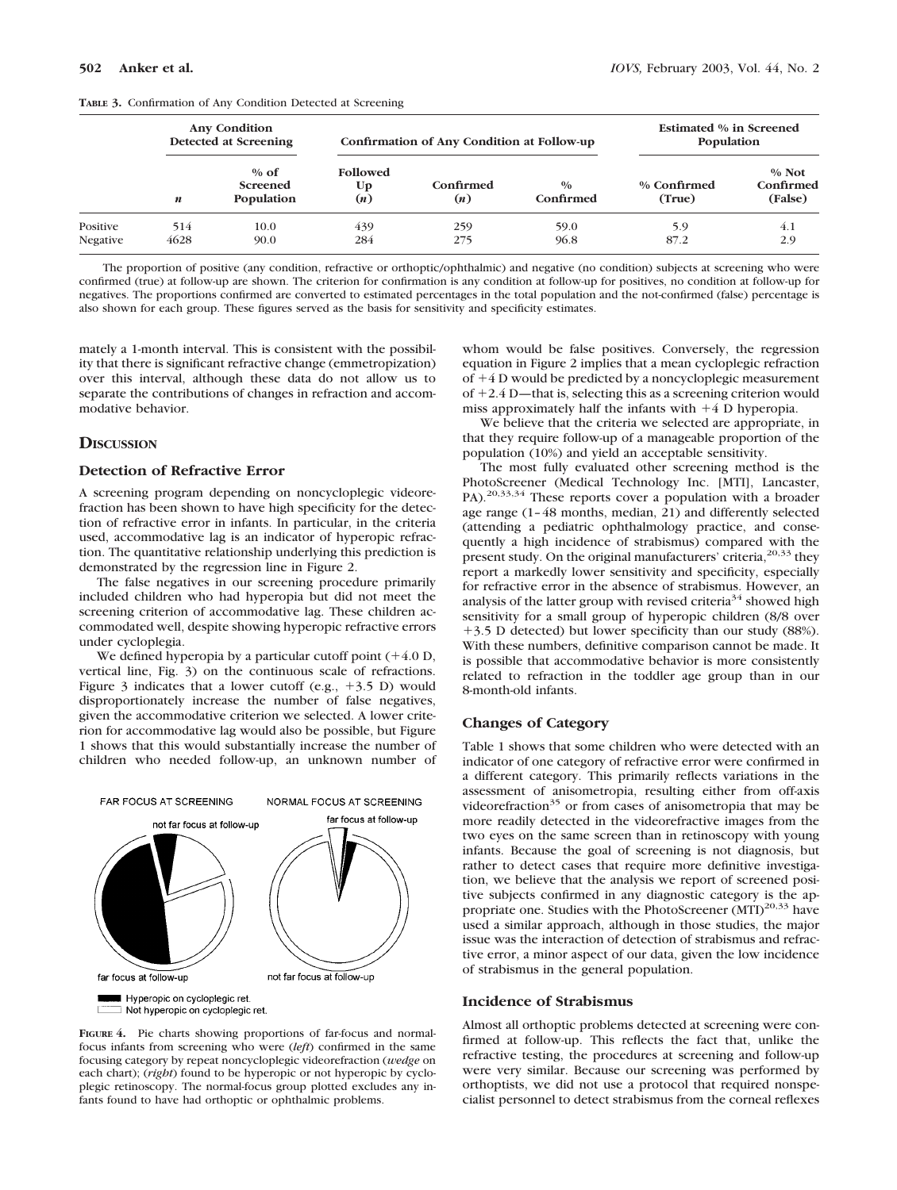|  | TABLE 3. Confirmation of Any Condition Detected at Screening |  |  |  |  |
|--|--------------------------------------------------------------|--|--|--|--|
|--|--------------------------------------------------------------|--|--|--|--|

|                      |             | <b>Any Condition</b><br>Detected at Screening |                              | Confirmation of Any Condition at Follow-up | <b>Estimated % in Screened</b><br>Population |                       |                                  |
|----------------------|-------------|-----------------------------------------------|------------------------------|--------------------------------------------|----------------------------------------------|-----------------------|----------------------------------|
|                      | n           | $%$ of<br>Screened<br>Population              | <b>Followed</b><br>Up<br>(n) | Confirmed<br>(n)                           | $\frac{0}{0}$<br>Confirmed                   | % Confirmed<br>(True) | $\%$ Not<br>Confirmed<br>(False) |
| Positive<br>Negative | 514<br>4628 | 10.0<br>90.0                                  | 439<br>284                   | 259<br>275                                 | 59.0<br>96.8                                 | 5.9<br>87.2           | 4.1<br>2.9                       |

The proportion of positive (any condition, refractive or orthoptic/ophthalmic) and negative (no condition) subjects at screening who were confirmed (true) at follow-up are shown. The criterion for confirmation is any condition at follow-up for positives, no condition at follow-up for negatives. The proportions confirmed are converted to estimated percentages in the total population and the not-confirmed (false) percentage is also shown for each group. These figures served as the basis for sensitivity and specificity estimates.

mately a 1-month interval. This is consistent with the possibility that there is significant refractive change (emmetropization) over this interval, although these data do not allow us to separate the contributions of changes in refraction and accommodative behavior.

## **DISCUSSION**

#### **Detection of Refractive Error**

A screening program depending on noncycloplegic videorefraction has been shown to have high specificity for the detection of refractive error in infants. In particular, in the criteria used, accommodative lag is an indicator of hyperopic refraction. The quantitative relationship underlying this prediction is demonstrated by the regression line in Figure 2.

The false negatives in our screening procedure primarily included children who had hyperopia but did not meet the screening criterion of accommodative lag. These children accommodated well, despite showing hyperopic refractive errors under cycloplegia.

We defined hyperopia by a particular cutoff point  $(+4.0 \text{ D},$ vertical line, Fig. 3) on the continuous scale of refractions. Figure  $3$  indicates that a lower cutoff (e.g.,  $+3.5$  D) would disproportionately increase the number of false negatives, given the accommodative criterion we selected. A lower criterion for accommodative lag would also be possible, but Figure 1 shows that this would substantially increase the number of children who needed follow-up, an unknown number of



**FIGURE 4.** Pie charts showing proportions of far-focus and normalfocus infants from screening who were (*left*) confirmed in the same focusing category by repeat noncycloplegic videorefraction (*wedge* on each chart); (*right*) found to be hyperopic or not hyperopic by cycloplegic retinoscopy. The normal-focus group plotted excludes any infants found to have had orthoptic or ophthalmic problems.

whom would be false positives. Conversely, the regression equation in Figure 2 implies that a mean cycloplegic refraction of  $+4$  D would be predicted by a noncycloplegic measurement of  $+2.4$  D—that is, selecting this as a screening criterion would miss approximately half the infants with  $+4$  D hyperopia.

We believe that the criteria we selected are appropriate, in that they require follow-up of a manageable proportion of the population (10%) and yield an acceptable sensitivity.

The most fully evaluated other screening method is the PhotoScreener (Medical Technology Inc. [MTI], Lancaster, PA).20,33,34 These reports cover a population with a broader age range (1–48 months, median, 21) and differently selected (attending a pediatric ophthalmology practice, and consequently a high incidence of strabismus) compared with the present study. On the original manufacturers' criteria,<sup>20,33</sup> they report a markedly lower sensitivity and specificity, especially for refractive error in the absence of strabismus. However, an analysis of the latter group with revised criteria<sup>34</sup> showed high sensitivity for a small group of hyperopic children (8/8 over -3.5 D detected) but lower specificity than our study (88%). With these numbers, definitive comparison cannot be made. It is possible that accommodative behavior is more consistently related to refraction in the toddler age group than in our 8-month-old infants.

# **Changes of Category**

Table 1 shows that some children who were detected with an indicator of one category of refractive error were confirmed in a different category. This primarily reflects variations in the assessment of anisometropia, resulting either from off-axis videorefraction<sup>35</sup> or from cases of anisometropia that may be more readily detected in the videorefractive images from the two eyes on the same screen than in retinoscopy with young infants. Because the goal of screening is not diagnosis, but rather to detect cases that require more definitive investigation, we believe that the analysis we report of screened positive subjects confirmed in any diagnostic category is the appropriate one. Studies with the PhotoScreener  $(MTI)^{20,33}$  have used a similar approach, although in those studies, the major issue was the interaction of detection of strabismus and refractive error, a minor aspect of our data, given the low incidence of strabismus in the general population.

## **Incidence of Strabismus**

Almost all orthoptic problems detected at screening were confirmed at follow-up. This reflects the fact that, unlike the refractive testing, the procedures at screening and follow-up were very similar. Because our screening was performed by orthoptists, we did not use a protocol that required nonspecialist personnel to detect strabismus from the corneal reflexes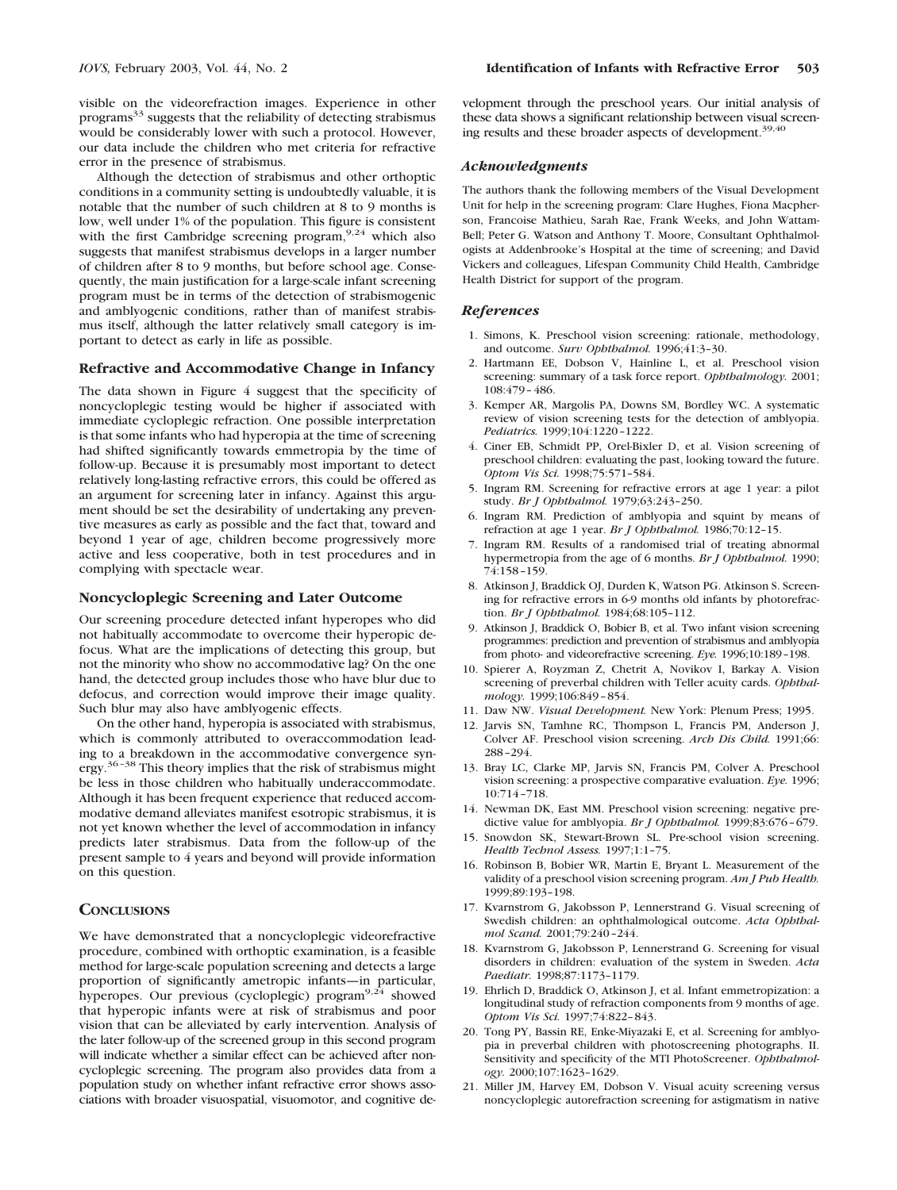visible on the videorefraction images. Experience in other programs<sup>33</sup> suggests that the reliability of detecting strabismus would be considerably lower with such a protocol. However, our data include the children who met criteria for refractive error in the presence of strabismus.

Although the detection of strabismus and other orthoptic conditions in a community setting is undoubtedly valuable, it is notable that the number of such children at 8 to 9 months is low, well under 1% of the population. This figure is consistent with the first Cambridge screening program, 9,24 which also suggests that manifest strabismus develops in a larger number of children after 8 to 9 months, but before school age. Consequently, the main justification for a large-scale infant screening program must be in terms of the detection of strabismogenic and amblyogenic conditions, rather than of manifest strabismus itself, although the latter relatively small category is important to detect as early in life as possible.

# **Refractive and Accommodative Change in Infancy**

The data shown in Figure 4 suggest that the specificity of noncycloplegic testing would be higher if associated with immediate cycloplegic refraction. One possible interpretation is that some infants who had hyperopia at the time of screening had shifted significantly towards emmetropia by the time of follow-up. Because it is presumably most important to detect relatively long-lasting refractive errors, this could be offered as an argument for screening later in infancy. Against this argument should be set the desirability of undertaking any preventive measures as early as possible and the fact that, toward and beyond 1 year of age, children become progressively more active and less cooperative, both in test procedures and in complying with spectacle wear.

### **Noncycloplegic Screening and Later Outcome**

Our screening procedure detected infant hyperopes who did not habitually accommodate to overcome their hyperopic defocus. What are the implications of detecting this group, but not the minority who show no accommodative lag? On the one hand, the detected group includes those who have blur due to defocus, and correction would improve their image quality. Such blur may also have amblyogenic effects.

On the other hand, hyperopia is associated with strabismus, which is commonly attributed to overaccommodation leading to a breakdown in the accommodative convergence synergy.36–38 This theory implies that the risk of strabismus might be less in those children who habitually underaccommodate. Although it has been frequent experience that reduced accommodative demand alleviates manifest esotropic strabismus, it is not yet known whether the level of accommodation in infancy predicts later strabismus. Data from the follow-up of the present sample to 4 years and beyond will provide information on this question.

## **CONCLUSIONS**

We have demonstrated that a noncycloplegic videorefractive procedure, combined with orthoptic examination, is a feasible method for large-scale population screening and detects a large proportion of significantly ametropic infants—in particular, hyperopes. Our previous (cycloplegic) program<sup>9,24</sup> showed that hyperopic infants were at risk of strabismus and poor vision that can be alleviated by early intervention. Analysis of the later follow-up of the screened group in this second program will indicate whether a similar effect can be achieved after noncycloplegic screening. The program also provides data from a population study on whether infant refractive error shows associations with broader visuospatial, visuomotor, and cognitive development through the preschool years. Our initial analysis of these data shows a significant relationship between visual screening results and these broader aspects of development.<sup>39,40</sup>

#### *Acknowledgments*

The authors thank the following members of the Visual Development Unit for help in the screening program: Clare Hughes, Fiona Macpherson, Francoise Mathieu, Sarah Rae, Frank Weeks, and John Wattam-Bell; Peter G. Watson and Anthony T. Moore, Consultant Ophthalmologists at Addenbrooke's Hospital at the time of screening; and David Vickers and colleagues, Lifespan Community Child Health, Cambridge Health District for support of the program.

### *References*

- 1. Simons, K. Preschool vision screening: rationale, methodology, and outcome. *Surv Ophthalmol.* 1996;41:3–30.
- 2. Hartmann EE, Dobson V, Hainline L, et al. Preschool vision screening: summary of a task force report. *Ophthalmology.* 2001; 108:479–486.
- 3. Kemper AR, Margolis PA, Downs SM, Bordley WC. A systematic review of vision screening tests for the detection of amblyopia. *Pediatrics.* 1999;104:1220–1222.
- 4. Ciner EB, Schmidt PP, Orel-Bixler D, et al. Vision screening of preschool children: evaluating the past, looking toward the future. *Optom Vis Sci.* 1998;75:571–584.
- 5. Ingram RM. Screening for refractive errors at age 1 year: a pilot study. *Br J Ophthalmol.* 1979;63:243–250.
- 6. Ingram RM. Prediction of amblyopia and squint by means of refraction at age 1 year. *Br J Ophthalmol.* 1986;70:12–15.
- 7. Ingram RM. Results of a randomised trial of treating abnormal hypermetropia from the age of 6 months. *Br J Ophthalmol.* 1990; 74:158–159.
- 8. Atkinson J, Braddick OJ, Durden K, Watson PG. Atkinson S. Screening for refractive errors in 6-9 months old infants by photorefraction. *Br J Ophthalmol.* 1984;68:105–112.
- 9. Atkinson J, Braddick O, Bobier B, et al. Two infant vision screening programmes: prediction and prevention of strabismus and amblyopia from photo- and videorefractive screening. *Eye.* 1996;10:189–198.
- 10. Spierer A, Royzman Z, Chetrit A, Novikov I, Barkay A. Vision screening of preverbal children with Teller acuity cards. *Ophthalmology.* 1999;106:849–854.
- 11. Daw NW. *Visual Development.* New York: Plenum Press; 1995.
- 12. Jarvis SN, Tamhne RC, Thompson L, Francis PM, Anderson J, Colver AF. Preschool vision screening. *Arch Dis Child.* 1991;66: 288–294.
- 13. Bray LC, Clarke MP, Jarvis SN, Francis PM, Colver A. Preschool vision screening: a prospective comparative evaluation. *Eye.* 1996; 10:714–718.
- 14. Newman DK, East MM. Preschool vision screening: negative predictive value for amblyopia. *Br J Ophthalmol.* 1999;83:676–679.
- 15. Snowdon SK, Stewart-Brown SL. Pre-school vision screening. *Health Technol Assess.* 1997;1:1–75.
- 16. Robinson B, Bobier WR, Martin E, Bryant L. Measurement of the validity of a preschool vision screening program. *Am J Pub Health.* 1999;89:193–198.
- 17. Kvarnstrom G, Jakobsson P, Lennerstrand G. Visual screening of Swedish children: an ophthalmological outcome. *Acta Ophthalmol Scand.* 2001;79:240–244.
- 18. Kvarnstrom G, Jakobsson P, Lennerstrand G. Screening for visual disorders in children: evaluation of the system in Sweden. *Acta Paediatr.* 1998;87:1173–1179.
- 19. Ehrlich D, Braddick O, Atkinson J, et al. Infant emmetropization: a longitudinal study of refraction components from 9 months of age. *Optom Vis Sci.* 1997;74:822–843.
- 20. Tong PY, Bassin RE, Enke-Miyazaki E, et al. Screening for amblyopia in preverbal children with photoscreening photographs. II. Sensitivity and specificity of the MTI PhotoScreener. *Ophthalmology.* 2000;107:1623–1629.
- 21. Miller JM, Harvey EM, Dobson V. Visual acuity screening versus noncycloplegic autorefraction screening for astigmatism in native